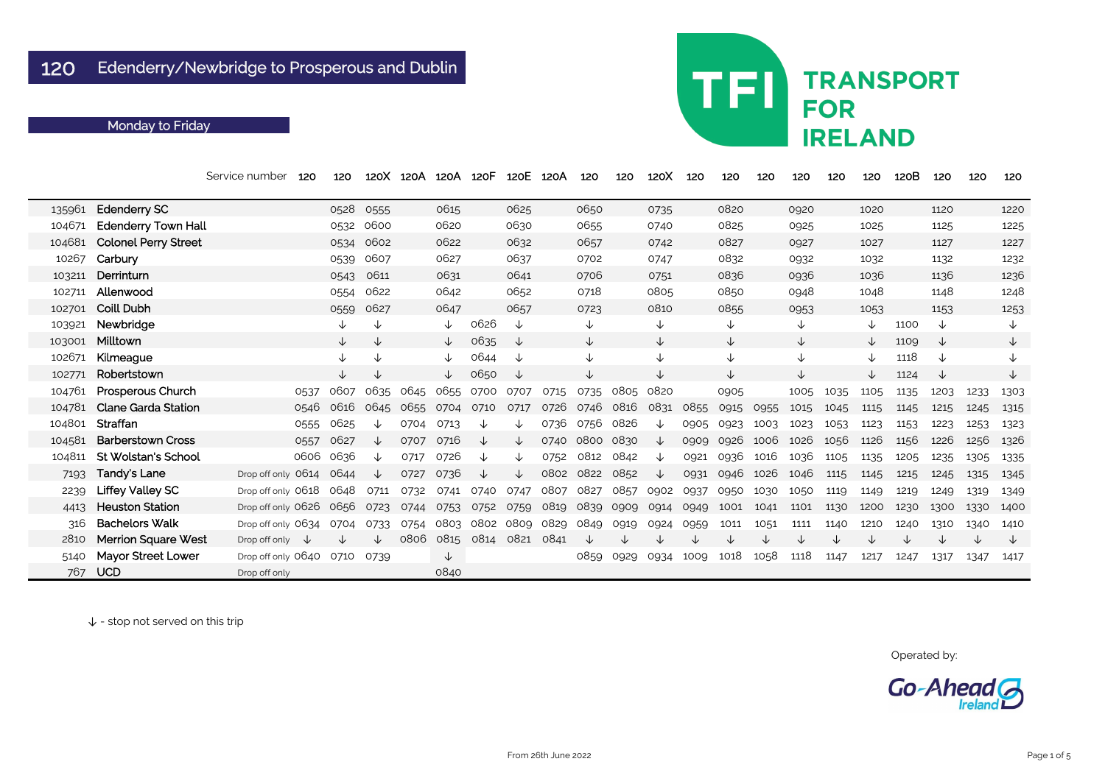|        |                             | Service number          | 120  | 120          | 120X         | 120A | 120A 120F    |              | 120E         | 120A | 120          | 120  | 120X         | 120  | 120          | 120  | 120          | 120  | 120          | 120B | 120          | 120  | 120          |
|--------|-----------------------------|-------------------------|------|--------------|--------------|------|--------------|--------------|--------------|------|--------------|------|--------------|------|--------------|------|--------------|------|--------------|------|--------------|------|--------------|
| 135961 | <b>Edenderry SC</b>         |                         |      | 0528         | 0555         |      | 0615         |              | 0625         |      | 0650         |      | 0735         |      | 0820         |      | 0920         |      | 1020         |      | 1120         |      | 1220         |
| 104671 | <b>Edenderry Town Hall</b>  |                         |      | 0532         | 0600         |      | 0620         |              | 0630         |      | 0655         |      | 0740         |      | 0825         |      | 0925         |      | 1025         |      | 1125         |      | 1225         |
| 104681 | <b>Colonel Perry Street</b> |                         |      |              | 0534 0602    |      | 0622         |              | 0632         |      | 0657         |      | 0742         |      | 0827         |      | 0927         |      | 1027         |      | 1127         |      | 1227         |
| 10267  | Carbury                     |                         |      | 0539         | 0607         |      | 0627         |              | 0637         |      | 0702         |      | 0747         |      | 0832         |      | 0932         |      | 1032         |      | 1132         |      | 1232         |
| 103211 | Derrinturn                  |                         |      | 0543         | 0611         |      | 0631         |              | 0641         |      | 0706         |      | 0751         |      | 0836         |      | 0936         |      | 1036         |      | 1136         |      | 1236         |
| 102711 | Allenwood                   |                         |      | 0554         | 0622         |      | 0642         |              | 0652         |      | 0718         |      | 0805         |      | 0850         |      | 0948         |      | 1048         |      | 1148         |      | 1248         |
| 102701 | <b>Coill Dubh</b>           |                         |      | 0559         | 0627         |      | 0647         |              | 0657         |      | 0723         |      | 0810         |      | 0855         |      | 0953         |      | 1053         |      | 1153         |      | 1253         |
| 103921 | Newbridge                   |                         |      | ↓            | ↓            |      | $\downarrow$ | 0626         | ↓            |      | ↓            |      | ↓            |      | ↓            |      | $\downarrow$ |      | ↓            | 1100 | ↓            |      | $\downarrow$ |
| 103001 | Milltown                    |                         |      | $\downarrow$ | $\downarrow$ |      | $\downarrow$ | 0635         | $\downarrow$ |      | $\downarrow$ |      | $\downarrow$ |      | $\downarrow$ |      | $\downarrow$ |      | $\downarrow$ | 1109 | $\downarrow$ |      | $\downarrow$ |
| 102671 | Kilmeague                   |                         |      | ↓            | ↓            |      | $\downarrow$ | 0644         | ↓            |      | $\downarrow$ |      | ↓            |      | $\downarrow$ |      | ↓            |      | ↓            | 1118 | $\downarrow$ |      | $\downarrow$ |
| 102771 | Robertstown                 |                         |      | $\downarrow$ | $\downarrow$ |      | $\downarrow$ | 0650         | ↓            |      | $\downarrow$ |      | ↓            |      | $\downarrow$ |      | $\downarrow$ |      | $\downarrow$ | 1124 | $\downarrow$ |      | $\downarrow$ |
| 104761 | <b>Prosperous Church</b>    |                         | 0537 | 0607         | 0635         | 0645 | 0655         | 0700         | 0707         | 0715 | 0735         | 0805 | 0820         |      | 0905         |      | 1005         | 1035 | 1105         | 1135 | 1203         | 1233 | 1303         |
| 104781 | <b>Clane Garda Station</b>  |                         | 0546 | 0616         | 0645         | 0655 | 0704         | 0710         | 0717         | 0726 | 0746         | 0816 | 0831         | 0855 | 0915         | 0955 | 1015         | 1045 | 1115         | 1145 | 1215         | 1245 | 1315         |
| 104801 | <b>Straffan</b>             |                         | 0555 | 0625         | ↓            | 0704 | 0713         | ↓            | ↓            | 0736 | 0756         | 0826 | ↓            | 0905 | 0923         | 1003 | 1023         | 1053 | 1123         | 1153 | 1223         | 1253 | 1323         |
| 104581 | <b>Barberstown Cross</b>    |                         | 0557 | 0627         | ↓            | 0707 | 0716         | ↓            | ↓            | 0740 | 0800 0830    |      | ↓            | 0909 | 0926         | 1006 | 1026         | 1056 | 1126         | 1156 | 1226         | 1256 | 1326         |
| 104811 | <b>St Wolstan's School</b>  |                         | 0606 | 0636         | ↓            | 0717 | 0726         | ↓            | ↓            | 0752 | 0812         | 0842 | ↓            | 0921 | 0936         | 1016 | 1036         | 1105 | 1135         | 1205 | 1235         | 1305 | 1335         |
| 7193   | Tandy's Lane                | Drop off only 0614      |      | 0644         | $\downarrow$ | 0727 | 0736         | $\downarrow$ | ↓            | 0802 | 0822         | 0852 | $\downarrow$ | 0931 | 0946         | 1026 | 1046         | 1115 | 1145         | 1215 | 1245         | 1315 | 1345         |
| 2239   | <b>Liffey Valley SC</b>     | Drop off only 0618      |      | 0648         | 0711         | 0732 | 0741         | 0740         | 0747         | 0807 | 0827         | 0857 | 0902         | 0937 | 0950         | 1030 | 1050         | 1119 | 1149         | 1219 | 1249         | 1319 | 1349         |
| 4413   | <b>Heuston Station</b>      | Drop off only 0626      |      | 0656         | 0723         | 0744 | 0753         | 0752         | 0759         | 0819 | 0839         | 0909 | 0914         | 0949 | 1001         | 1041 | 1101         | 1130 | 1200         | 1230 | 1300         | 1330 | 1400         |
| 316    | <b>Bachelors Walk</b>       | Drop off only 0634      |      | 0704         | 0733         | 0754 | 0803         | 0802         | 0809         | 0829 | 0849         | 0919 | 0924         | 0959 | 1011         | 1051 | 1111         | 1140 | 1210         | 1240 | 1310         | 1340 | 1410         |
| 2810   | <b>Merrion Square West</b>  | Drop off only           | √√   |              |              | 0806 | 0815         | 0814         | 0821         | 0841 | $\downarrow$ | ↓    | ↓            | ↓    | ↓            | ↓    | ↓            |      | ↓            | ◡    | ↓            |      | ↓            |
| 5140   | <b>Mayor Street Lower</b>   | Drop off only 0640 0710 |      |              | 0739         |      | $\downarrow$ |              |              |      | 0859         | 0929 | 0934         | 1009 | 1018         | 1058 | 1118         | 1147 | 1217         | 1247 | 1317         | 1347 | 1417         |
| 767    | <b>UCD</b>                  | Drop off only           |      |              |              |      | 0840         |              |              |      |              |      |              |      |              |      |              |      |              |      |              |      |              |

# **TRANSPORT FOR IRELAND**

TFI

Operated by:

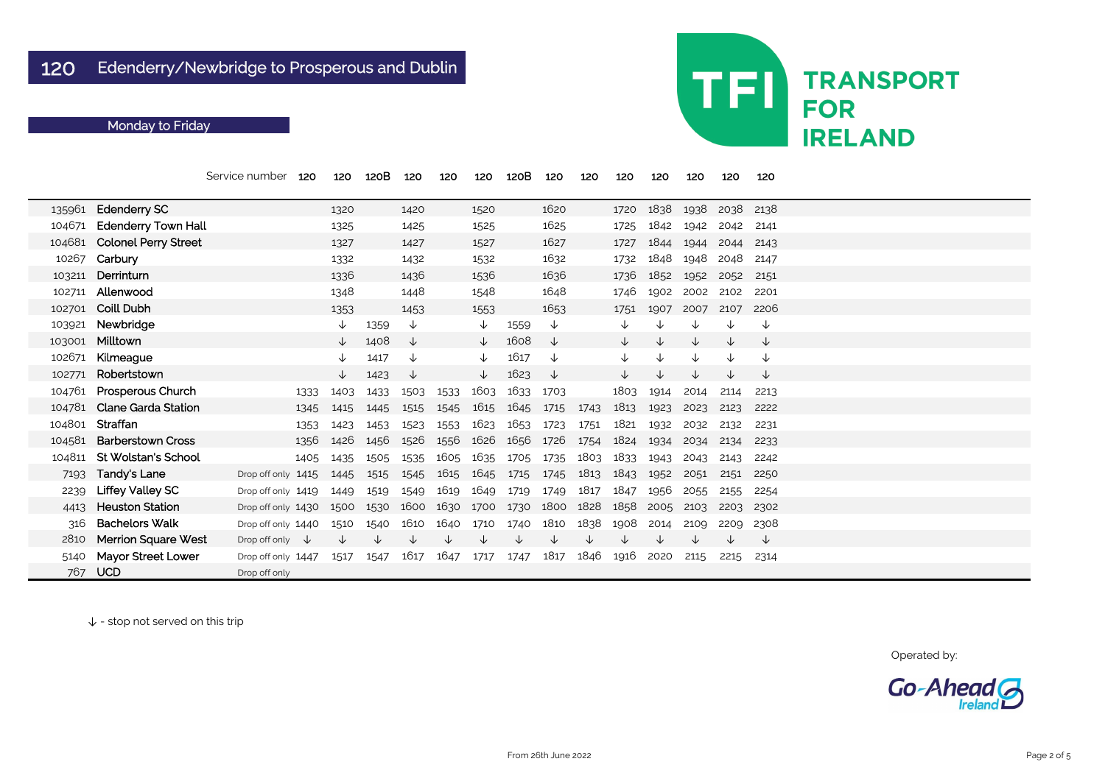|        |                             | Service number             | 120  | 120          | 120B | 120          | 120       | 120          | 120B | 120          | 120  | 120          | 120  | 120          | 120          | 120          |  |
|--------|-----------------------------|----------------------------|------|--------------|------|--------------|-----------|--------------|------|--------------|------|--------------|------|--------------|--------------|--------------|--|
| 135961 | Edenderry SC                |                            |      | 1320         |      | 1420         |           | 1520         |      | 1620         |      | 1720         | 1838 | 1938         | 2038         | 2138         |  |
| 104671 | <b>Edenderry Town Hall</b>  |                            |      | 1325         |      | 1425         |           | 1525         |      | 1625         |      | 1725         | 1842 | 1942         | 2042         | 2141         |  |
| 104681 | <b>Colonel Perry Street</b> |                            |      | 1327         |      | 1427         |           | 1527         |      | 1627         |      | 1727         | 1844 | 1944         | 2044         | 2143         |  |
| 10267  | Carbury                     |                            |      | 1332         |      | 1432         |           | 1532         |      | 1632         |      | 1732         | 1848 | 1948         | 2048         | 2147         |  |
| 103211 | Derrinturn                  |                            |      | 1336         |      | 1436         |           | 1536         |      | 1636         |      | 1736         | 1852 | 1952         | 2052         | 2151         |  |
| 102711 | Allenwood                   |                            |      | 1348         |      | 1448         |           | 1548         |      | 1648         |      | 1746         | 1902 | 2002         | 2102         | 2201         |  |
| 102701 | <b>Coill Dubh</b>           |                            |      | 1353         |      | 1453         |           | 1553         |      | 1653         |      | 1751         | 1907 | 2007         | 2107         | 2206         |  |
| 103921 | Newbridge                   |                            |      | $\downarrow$ | 1359 | ↓            |           | ↓            | 1559 | $\downarrow$ |      | ↓            |      |              | ↓            | ↓            |  |
| 103001 | Milltown                    |                            |      | $\downarrow$ | 1408 | ↓            |           | $\downarrow$ | 1608 | $\downarrow$ |      | $\downarrow$ | ↓    | $\downarrow$ | $\downarrow$ | $\downarrow$ |  |
| 102671 | Kilmeague                   |                            |      | ↓            | 1417 | $\downarrow$ |           | $\downarrow$ | 1617 | $\downarrow$ |      | $\downarrow$ | ↓    | ↓            | $\downarrow$ | $\downarrow$ |  |
| 102771 | Robertstown                 |                            |      | $\downarrow$ | 1423 | ↓            |           | $\downarrow$ | 1623 | ↓            |      | $\downarrow$ | ↓    | ↓            | $\downarrow$ | $\downarrow$ |  |
| 104761 | <b>Prosperous Church</b>    |                            | 1333 | 1403         | 1433 | 1503         | 1533      | 1603         | 1633 | 1703         |      | 1803         | 1914 | 2014         | 2114         | 2213         |  |
| 104781 | <b>Clane Garda Station</b>  |                            | 1345 | 1415         | 1445 | 1515         | 1545      | 1615         | 1645 | 1715         | 1743 | 1813         | 1923 | 2023         | 2123         | 2222         |  |
| 104801 | Straffan                    |                            | 1353 | 1423         | 1453 | 1523         | 1553      | 1623         | 1653 | 1723         | 1751 | 1821         | 1932 | 2032         | 2132         | 2231         |  |
| 104581 | <b>Barberstown Cross</b>    |                            | 1356 | 1426         | 1456 | 1526         | 1556      | 1626         | 1656 | 1726         | 1754 | 1824         | 1934 | 2034         | 2134         | 2233         |  |
| 104811 | <b>St Wolstan's School</b>  |                            | 1405 | 1435         | 1505 | 1535         | 1605      | 1635         | 1705 | 1735         | 1803 | 1833         | 1943 | 2043         | 2143         | 2242         |  |
| 7193   | Tandy's Lane                | Drop off only 1415         |      | 1445         | 1515 | 1545         | 1615      | 1645         | 1715 | 1745         | 1813 | 1843         | 1952 | 2051         | 2151         | 2250         |  |
| 2239   | <b>Liffey Valley SC</b>     | Drop off only 1419         |      | 1449         | 1519 | 1549         | 1619      | 1649         | 1719 | 1749         | 1817 | 1847         | 1956 | 2055         | 2155         | 2254         |  |
| 4413   | <b>Heuston Station</b>      | Drop off only 1430         |      | 1500         | 1530 | 1600         | 1630 1700 |              | 1730 | 1800         | 1828 | 1858         | 2005 | 2103         | 2203         | 2302         |  |
| 316    | <b>Bachelors Walk</b>       | Drop off only 1440         |      | 1510         | 1540 | 1610         | 1640      | 1710         | 1740 | 1810         | 1838 | 1908         | 2014 | 2109         | 2209         | 2308         |  |
| 2810   | <b>Merrion Square West</b>  | Drop off only $\downarrow$ |      | $\downarrow$ | ↓    |              |           |              |      |              |      |              |      |              |              | ↓            |  |
| 5140   | <b>Mayor Street Lower</b>   | Drop off only 1447         |      | 1517         | 1547 | 1617         | 1647      | 1717         | 1747 | 1817         | 1846 | 1916         | 2020 | 2115         | 2215         | 2314         |  |
| 767    | <b>UCD</b>                  | Drop off only              |      |              |      |              |           |              |      |              |      |              |      |              |              |              |  |



Operated by:

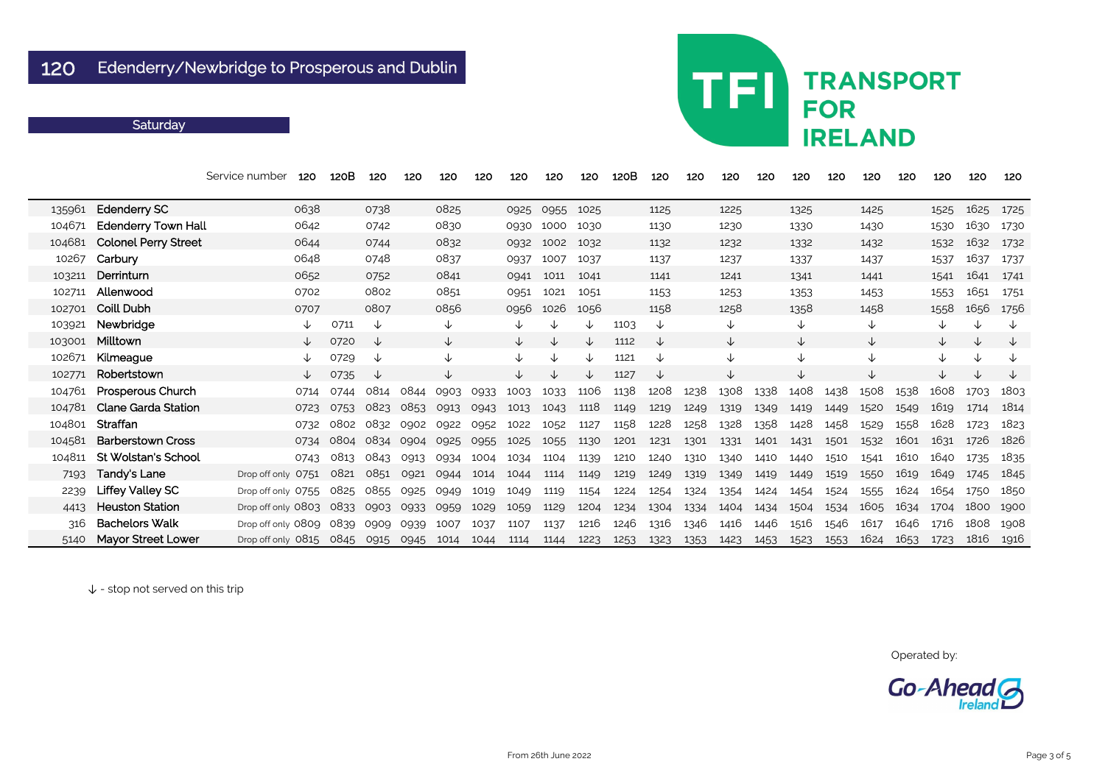### 120 Edenderry/Newbridge to Prosperous and Dublin

#### **Saturday**

|        |                             | Service number          | 120          | 120B | 120          | 120  | 120          | 120  | 120          | 120          | 120  | 120B | 120          | 120  | 120          | 120  | 120          | 120  | 120          | 120  | 120          | 120          | 120  |
|--------|-----------------------------|-------------------------|--------------|------|--------------|------|--------------|------|--------------|--------------|------|------|--------------|------|--------------|------|--------------|------|--------------|------|--------------|--------------|------|
| 135961 | <b>Edenderry SC</b>         |                         | 0638         |      | 0738         |      | 0825         |      | 0925         | 0955         | 1025 |      | 1125         |      | 1225         |      | 1325         |      | 1425         |      | 1525         | 1625         | 1725 |
| 104671 | <b>Edenderry Town Hall</b>  |                         | 0642         |      | 0742         |      | 0830         |      | 0930         | 1000         | 1030 |      | 1130         |      | 1230         |      | 1330         |      | 1430         |      | 1530         | 1630         | 1730 |
| 104681 | <b>Colonel Perry Street</b> |                         | 0644         |      | 0744         |      | 0832         |      | 0932         | 1002         | 1032 |      | 1132         |      | 1232         |      | 1332         |      | 1432         |      | 1532         | 1632         | 1732 |
| 10267  | Carbury                     |                         | 0648         |      | 0748         |      | 0837         |      | 0937         | 1007         | 1037 |      | 1137         |      | 1237         |      | 1337         |      | 1437         |      | 1537         | 1637         | 1737 |
| 103211 | Derrinturn                  |                         | 0652         |      | 0752         |      | 0841         |      | 0941         | 1011         | 1041 |      | 1141         |      | 1241         |      | 1341         |      | 1441         |      | 1541         | 1641         | 1741 |
| 102711 | Allenwood                   |                         | 0702         |      | 0802         |      | 0851         |      | 0951         | 1021         | 1051 |      | 1153         |      | 1253         |      | 1353         |      | 1453         |      | 1553         | 1651         | 1751 |
| 102701 | <b>Coill Dubh</b>           |                         | 0707         |      | 0807         |      | 0856         |      | 0956         | 1026         | 1056 |      | 1158         |      | 1258         |      | 1358         |      | 1458         |      | 1558         | 1656         | 1756 |
| 103921 | Newbridge                   |                         | ↓            | 0711 | $\downarrow$ |      | $\downarrow$ |      | $\downarrow$ | ↓            | ↓    | 1103 | $\downarrow$ |      | $\downarrow$ |      | $\downarrow$ |      | ↓            |      | $\downarrow$ | ↓            | ↓    |
| 103001 | Milltown                    |                         | $\downarrow$ | 0720 | $\downarrow$ |      | ↓            |      | $\downarrow$ | ↓            | ↓    | 1112 | ↓            |      | $\downarrow$ |      | $\downarrow$ |      | ↓            |      | $\downarrow$ | $\downarrow$ | ↓    |
| 102671 | Kilmeague                   |                         | ↓            | 0729 | $\downarrow$ |      | $\downarrow$ |      | $\downarrow$ | $\downarrow$ | ↓    | 1121 | ↓            |      | $\downarrow$ |      | ↓            |      | $\downarrow$ |      | ↓            | ↓            |      |
| 102771 | Robertstown                 |                         | $\downarrow$ | 0735 | $\downarrow$ |      | $\downarrow$ |      | $\downarrow$ | ↓            | ↓    | 1127 | $\downarrow$ |      | $\downarrow$ |      | $\downarrow$ |      | ↓            |      | $\downarrow$ | ↓            |      |
| 104761 | <b>Prosperous Church</b>    |                         | 0714         | 0744 | 0814         | 0844 | 0903         | 0933 | 1003         | 1033         | 1106 | 1138 | 1208         | 1238 | 1308         | 1338 | 1408         | 1438 | 1508         | 1538 | 1608         | 1703         | 1803 |
| 104781 | <b>Clane Garda Station</b>  |                         | 0723         | 0753 | 0823         | 0853 | 0913         | 0943 | 1013         | 1043         | 1118 | 1149 | 1219         | 1249 | 1319         | 1349 | 1419         | 1449 | 1520         | 1549 | 1619         | 1714         | 1814 |
| 104801 | Straffan                    |                         | 0732         | 0802 | 0832         | 0902 | 0922         | 0952 | 1022         | 1052         | 1127 | 1158 | 1228         | 1258 | 1328         | 1358 | 1428         | 1458 | 1529         | 1558 | 1628         | 1723         | 1823 |
| 104581 | <b>Barberstown Cross</b>    |                         | 0734         | 0804 | 0834         | 0904 | 0925         | 0955 | 1025         | 1055         | 1130 | 1201 | 1231         | 1301 | 1331         | 1401 | 1431         | 1501 | 1532         | 1601 | 1631         | 1726         | 1826 |
| 104811 | <b>St Wolstan's School</b>  |                         | 0743         | 0813 | 0843         | 0913 | 0934         | 1004 | 1034         | 1104         | 1139 | 1210 | 1240         | 1310 | 1340         | 1410 | 1440         | 1510 | 1541         | 1610 | 1640         | 1735         | 1835 |
| 7193   | Tandy's Lane                | Drop off only 0751      |              | 0821 | 0851         | 0921 | 0944         | 1014 | 1044         | 1114         | 1149 | 1219 | 1249         | 1319 | 1349         | 1419 | 1449         | 1519 | 1550         | 1619 | 1649         | 1745         | 1845 |
| 2239   | <b>Liffey Valley SC</b>     | Drop off only 0755      |              | 0825 | 0855         | 0925 | 0949         | 1019 | 1049         | 1119         | 1154 | 1224 | 1254         | 1324 | 1354         | 1424 | 1454         | 1524 | 1555         | 1624 | 1654         | 1750         | 1850 |
| 4413   | <b>Heuston Station</b>      | Drop off only 0803      |              | 0833 | 0903         | 0933 | 0959         | 1029 | 1059         | 1129         | 1204 | 1234 | 1304         | 1334 | 1404         | 1434 | 1504         | 1534 | 1605         | 1634 | 1704         | 1800         | 1900 |
| 316    | <b>Bachelors Walk</b>       | Drop off only 0809      |              | 0839 | 0909         | 0939 | 1007         | 1037 | 1107         | 1137         | 1216 | 1246 | 1316         | 1346 | 1416         | 1446 | 1516         | 1546 | 1617         | 1646 | 1716         | 1808         | 1908 |
| 5140   | <b>Mayor Street Lower</b>   | Drop off only 0815 0845 |              |      | 0915         | 0945 | 1014         | 1044 | 1114         | 1144         | 1223 | 1253 | 1323         | 1353 | 1423         | 1453 | 1523         | 1553 | 1624         | 1653 | 1723         | 1816         | 1916 |

↓ - stop not served on this trip

# **TRANSPORT FOR IRELAND**

**TFI** 

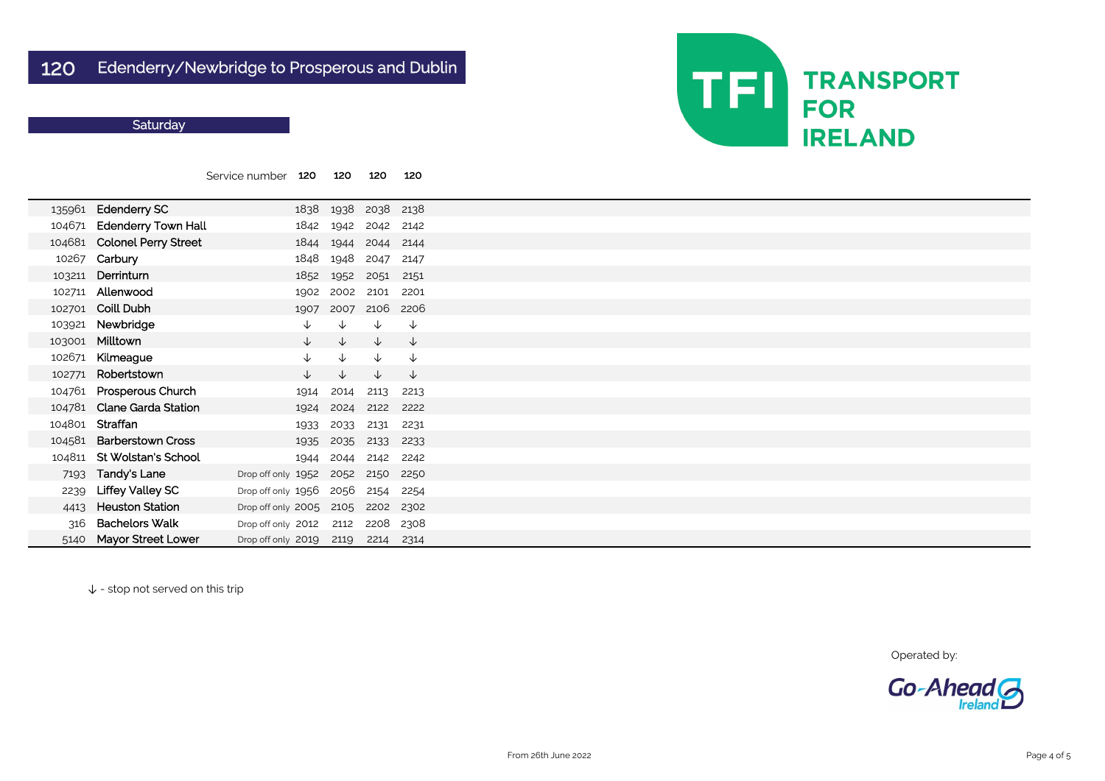#### **Saturday**

|        |                             | Service number     | 120          | 120          | 120          | 120          |  |
|--------|-----------------------------|--------------------|--------------|--------------|--------------|--------------|--|
| 135961 | <b>Edenderry SC</b>         |                    | 1838         | 1938         | 2038         | 2138         |  |
| 104671 | <b>Edenderry Town Hall</b>  |                    | 1842         | 1942         | 2042         | 2142         |  |
| 104681 | <b>Colonel Perry Street</b> |                    | 1844         | 1944         | 2044         | 2144         |  |
| 10267  | Carbury                     |                    | 1848         | 1948         | 2047         | 2147         |  |
| 103211 | Derrinturn                  |                    | 1852         | 1952         | 2051         | 2151         |  |
| 102711 | Allenwood                   |                    | 1902         | 2002         | 2101         | 2201         |  |
| 102701 | Coill Dubh                  |                    | 1907         | 2007         | 2106         | 2206         |  |
| 103921 | Newbridge                   |                    | $\downarrow$ | $\downarrow$ | $\downarrow$ | $\downarrow$ |  |
| 103001 | Milltown                    |                    | $\downarrow$ | $\downarrow$ | $\downarrow$ | $\downarrow$ |  |
| 102671 | Kilmeague                   |                    | $\downarrow$ | $\downarrow$ | $\downarrow$ | $\downarrow$ |  |
| 102771 | Robertstown                 |                    | $\downarrow$ | $\downarrow$ | $\downarrow$ | $\downarrow$ |  |
| 104761 | <b>Prosperous Church</b>    |                    | 1914         | 2014         | 2113         | 2213         |  |
| 104781 | <b>Clane Garda Station</b>  |                    | 1924         | 2024         | 2122         | 2222         |  |
| 104801 | <b>Straffan</b>             |                    | 1933         | 2033         | 2131         | 2231         |  |
| 104581 | <b>Barberstown Cross</b>    |                    | 1935         | 2035         | 2133         | 2233         |  |
| 104811 | <b>St Wolstan's School</b>  |                    | 1944         | 2044         | 2142         | 2242         |  |
| 7193   | <b>Tandy's Lane</b>         | Drop off only 1952 |              | 2052         | 2150         | 2250         |  |
| 2239   | <b>Liffey Valley SC</b>     | Drop off only 1956 |              | 2056         | 2154         | 2254         |  |
| 4413   | <b>Heuston Station</b>      | Drop off only 2005 |              | 2105         | 2202         | 2302         |  |
| 316    | <b>Bachelors Walk</b>       | Drop off only 2012 |              | 2112         | 2208         | 2308         |  |
| 5140   | <b>Mayor Street Lower</b>   | Drop off only 2019 |              | 2119         | 2214         | 2314         |  |

↓ - stop not served on this trip



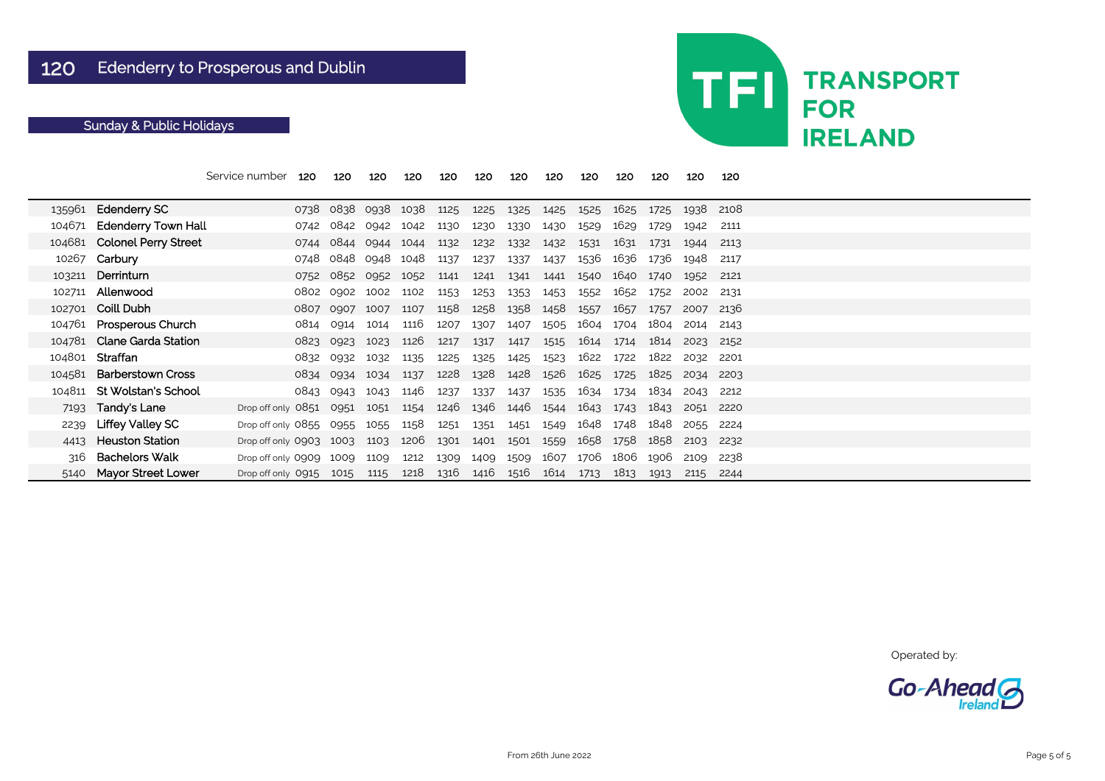|      |                             | Service number 120                | 120       | 120                                          | 120       | 120  | 120                      | 120            | 120       | 120            | 120       | 120                      | 12O            | 120  |
|------|-----------------------------|-----------------------------------|-----------|----------------------------------------------|-----------|------|--------------------------|----------------|-----------|----------------|-----------|--------------------------|----------------|------|
|      | 135961 Edenderry SC         |                                   |           | 0738 0838 0938 1038 1125 1225 1325 1425 1525 |           |      |                          |                |           |                |           | 1625 1725 1938 2108      |                |      |
|      | 104671 Edenderry Town Hall  |                                   |           | 0742 0842 0942 1042 1130                     |           |      | 1230 1330                |                | 1430      | 1529           |           | 1629 1729                | 1942           | 2111 |
|      | 104681 Colonel Perry Street |                                   |           | 0744 0844 0944 1044                          |           | 1132 |                          | 1232 1332 1432 |           | 1531           | 1631      | 1731                     | 1944           | 2113 |
|      | 10267 Carbury               |                                   |           | 0748 0848 0948 1048                          |           | 1137 | 1237                     | 1337           | 1437 1536 |                |           | 1636 1736                | 1948           | 2117 |
|      | 103211 Derrinturn           |                                   |           | 0752 0852 0952 1052                          |           |      | 1141 1241 1341 1441 1540 |                |           |                |           | 1640 1740                | 1952           | 2121 |
|      | 102711 Allenwood            |                                   |           | 0802 0902 1002 1102                          |           | 1153 | 1253 1353                |                | 1453 1552 |                |           | 1652 1752                | 2002 2131      |      |
|      | 102701 Coill Dubh           |                                   |           | 0807 0907 1007 1107 1158 1258 1358           |           |      |                          |                | 1458      | 1557           |           | 1657 1757 2007 2136      |                |      |
|      | 104761 Prosperous Church    |                                   | 0814 0914 | 1014 1116                                    |           |      | 1207 1307 1407           |                |           |                |           | 1505 1604 1704 1804 2014 |                | 2143 |
|      | 104781 Clane Garda Station  |                                   | 0823 0923 |                                              | 1023 1126 |      | 1217 1317 1417           |                | 1515      |                | 1614 1714 |                          | 1814 2023 2152 |      |
|      | 104801 Straffan             |                                   |           | 0832 0932 1032 1135                          |           | 1225 | 1325 1425 1523 1622 1722 |                |           |                |           |                          | 1822 2032 2201 |      |
|      | 104581 Barberstown Cross    |                                   | 0834 0934 | 1034 1137                                    |           |      | 1228 1328 1428           |                |           | 1526 1625 1725 |           |                          | 1825 2034 2203 |      |
|      | 104811 St Wolstan's School  |                                   | 0843 0943 | 1043 1146                                    |           | 1237 | 1337                     | 1437           | 1535      | 1634           | 1734      | 1834                     | 2043           | 2212 |
| 7193 | Tandy's Lane                | Drop off only 0851 0951           |           | 1051                                         | 1154      |      | 1246 1346 1446           |                | 1544      | 1643           | 1743      | 1843                     | 2051           | 2220 |
| 2239 | <b>Liffey Valley SC</b>     | Drop off only 0855 0955 1055      |           |                                              | 1158      | 1251 | 1351                     | 1451           | 1549      | 1648           | 1748      | 1848                     | 2055           | 2224 |
| 4413 | <b>Heuston Station</b>      | Drop off only 0903 1003           |           | 1103                                         | 1206      | 1301 | 1401                     | 1501           | 1559      | 1658           | 1758      | 1858                     | 2103           | 2232 |
|      | 316 Bachelors Walk          | Drop off only 0909 1009           |           | 1109                                         | 1212      | 1309 | 1409                     | 1509           | 1607 1706 |                | 1806      | 1906                     | 2109           | 2238 |
|      | 5140 Mayor Street Lower     | Drop off only 0915 1015 1115 1218 |           |                                              |           | 1316 | 1416                     | 1516           | 1614 1713 |                | 1813      | 1913                     | 2115           | 2244 |



Operated by:



### Sunday & Public Holidays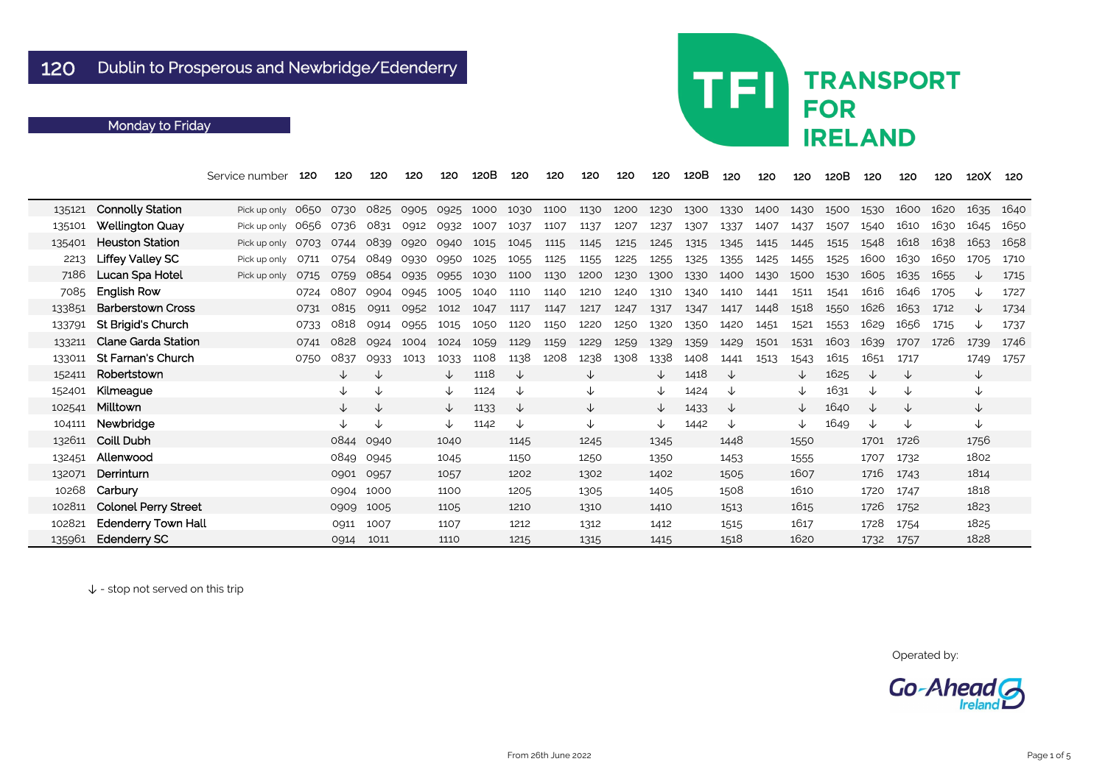|        |                             | Service number    | 120  | 120          | 120       | 120  | 120          | 120B | 120          | 120  | 120  | 120  | 120          | 120B | 120          | 120  | 120          | 120B | 120  | 120  | 120  | 120X         | 120  |
|--------|-----------------------------|-------------------|------|--------------|-----------|------|--------------|------|--------------|------|------|------|--------------|------|--------------|------|--------------|------|------|------|------|--------------|------|
| 135121 | <b>Connolly Station</b>     | Pick up only 0650 |      | 0730         | 0825 0905 |      | 0925         | 1000 | 1030         | 1100 | 1130 | 1200 | 1230         | 1300 | 1330         | 1400 | 1430         | 1500 | 1530 | 1600 | 1620 | 1635         | 1640 |
| 135101 | <b>Wellington Quay</b>      | Pick up only      | 0656 | 0736         | 0831      | 0912 | 0932         | 1007 | 1037         | 1107 | 1137 | 1207 | 1237         | 1307 | 1337         | 1407 | 1437         | 1507 | 1540 | 1610 | 1630 | 1645         | 1650 |
| 135401 | <b>Heuston Station</b>      | Pick up only      | 0703 | 0744         | 0839      | 0920 | 0940         | 1015 | 1045         | 1115 | 1145 | 1215 | 1245         | 1315 | 1345         | 1415 | 1445         | 1515 | 1548 | 1618 | 1638 | 1653         | 1658 |
| 2213   | <b>Liffey Valley SC</b>     | Pick up only      | 0711 | 0754         | 0849      | 0930 | 0950         | 1025 | 1055         | 1125 | 1155 | 1225 | 1255         | 1325 | 1355         | 1425 | 1455         | 1525 | 1600 | 1630 | 1650 | 1705         | 1710 |
| 7186   | Lucan Spa Hotel             | Pick up only      | 0715 | 0759         | 0854      | 0935 | 0955         | 1030 | 1100         | 1130 | 1200 | 1230 | 1300         | 1330 | 1400         | 1430 | 1500         | 1530 | 1605 | 1635 | 1655 | ↓            | 1715 |
| 7085   | English Row                 |                   | 0724 | 0807         | 0904      | 0945 | 1005         | 1040 | 1110         | 1140 | 1210 | 1240 | 1310         | 1340 | 1410         | 1441 | 1511         | 1541 | 1616 | 1646 | 1705 | ↓            | 1727 |
| 133851 | <b>Barberstown Cross</b>    |                   | 0731 | 0815         | 0911      | 0952 | 1012         | 1047 | 1117         | 1147 | 1217 | 1247 | 1317         | 1347 | 1417         | 1448 | 1518         | 1550 | 1626 | 1653 | 1712 | √            | 1734 |
| 133791 | St Brigid's Church          |                   | 0733 | 0818         | 0914      | 0955 | 1015         | 1050 | 1120         | 1150 | 1220 | 1250 | 1320         | 1350 | 1420         | 1451 | 1521         | 1553 | 1629 | 1656 | 1715 | ↓            | 1737 |
| 133211 | <b>Clane Garda Station</b>  |                   | 0741 | 0828         | 0924      | 1004 | 1024         | 1059 | 1129         | 1159 | 1229 | 1259 | 1329         | 1359 | 1429         | 1501 | 1531         | 1603 | 1639 | 1707 | 1726 | 1739         | 1746 |
| 133011 | <b>St Farnan's Church</b>   |                   | 0750 | 0837         | 0933      | 1013 | 1033         | 1108 | 1138         | 1208 | 1238 | 1308 | 1338         | 1408 | 1441         | 1513 | 1543         | 1615 | 1651 | 1717 |      | 1749         | 1757 |
| 152411 | Robertstown                 |                   |      | $\downarrow$ | ↓         |      | $\downarrow$ | 1118 | $\downarrow$ |      | ↓    |      | $\downarrow$ | 1418 | $\downarrow$ |      | $\downarrow$ | 1625 | ╰┸   | ↓    |      | $\downarrow$ |      |
| 152401 | Kilmeague                   |                   |      |              | ↓         |      | ↓            | 1124 | ↓            |      | ↓    |      | ↓            | 1424 | ↓            |      | ↓            | 1631 | ↓    | ↓    |      | ↓            |      |
| 102541 | Milltown                    |                   |      | $\downarrow$ | ↓         |      | ↓            | 1133 | ↓            |      | ↓    |      | $\downarrow$ | 1433 | ↓            |      | $\downarrow$ | 1640 | ↓    | ↓    |      | $\downarrow$ |      |
| 104111 | Newbridge                   |                   |      | ↓            | ↓         |      | ↓            | 1142 | ↓            |      | ∿    |      | ↓            | 1442 | ↓            |      | ↓            | 1649 | ↓    | ↓    |      | ↓            |      |
| 132611 | <b>Coill Dubh</b>           |                   |      | 0844         | 0940      |      | 1040         |      | 1145         |      | 1245 |      | 1345         |      | 1448         |      | 1550         |      | 1701 | 1726 |      | 1756         |      |
| 132451 | Allenwood                   |                   |      | 0849         | 0945      |      | 1045         |      | 1150         |      | 1250 |      | 1350         |      | 1453         |      | 1555         |      | 1707 | 1732 |      | 1802         |      |
| 132071 | Derrinturn                  |                   |      | 0901         | 0957      |      | 1057         |      | 1202         |      | 1302 |      | 1402         |      | 1505         |      | 1607         |      | 1716 | 1743 |      | 1814         |      |
| 10268  | Carbury                     |                   |      | 0904         | 1000      |      | 1100         |      | 1205         |      | 1305 |      | 1405         |      | 1508         |      | 1610         |      | 1720 | 1747 |      | 1818         |      |
| 102811 | <b>Colonel Perry Street</b> |                   |      | 0909         | 1005      |      | 1105         |      | 1210         |      | 1310 |      | 1410         |      | 1513         |      | 1615         |      | 1726 | 1752 |      | 1823         |      |
| 102821 | <b>Edenderry Town Hall</b>  |                   |      | 0911         | 1007      |      | 1107         |      | 1212         |      | 1312 |      | 1412         |      | 1515         |      | 1617         |      | 1728 | 1754 |      | 1825         |      |
| 135961 | <b>Edenderry SC</b>         |                   |      | 0914         | 1011      |      | 1110         |      | 1215         |      | 1315 |      | 1415         |      | 1518         |      | 1620         |      | 1732 | 1757 |      | 1828         |      |

# **TRANSPORT FOR IRELAND**

**TFI** 

Operated by:

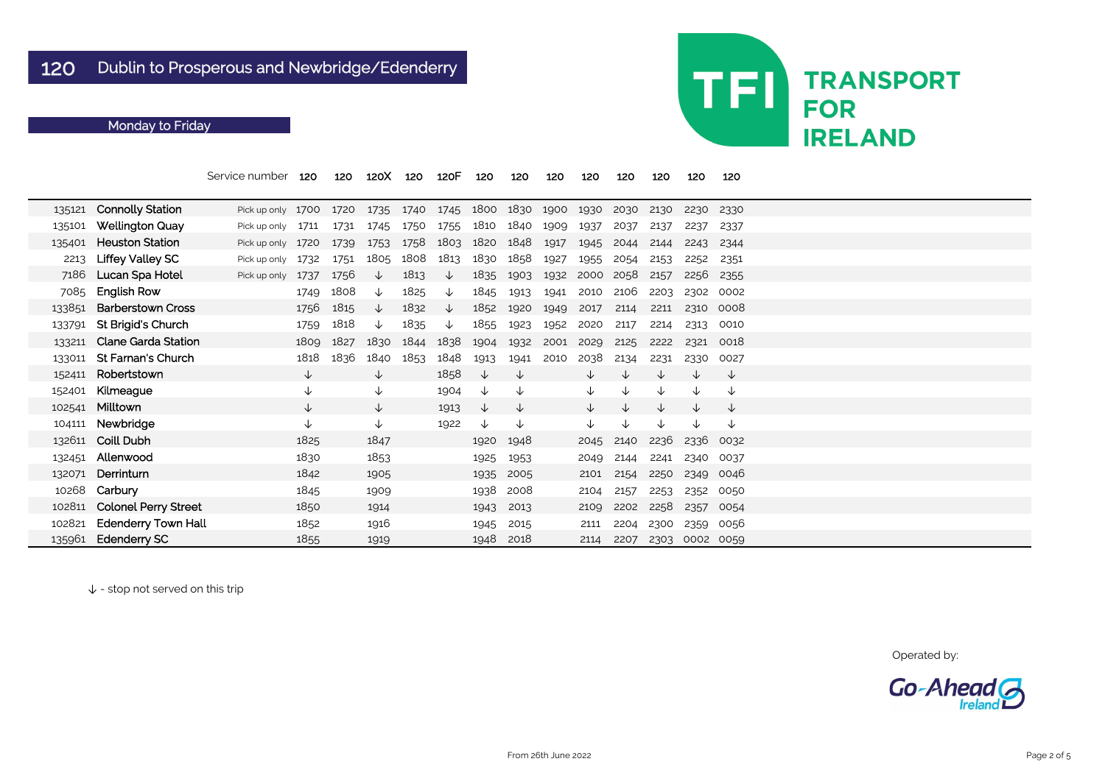|        |                             | Service number 120     |              | 120  | 120X                               | 120  | 120F | 120  | 120          | 120  | 120  | 120  | 120  | 120       | 120   |
|--------|-----------------------------|------------------------|--------------|------|------------------------------------|------|------|------|--------------|------|------|------|------|-----------|-------|
| 135121 | <b>Connolly Station</b>     | Pick up only 1700 1720 |              |      | 1735 1740 1745 1800 1830 1900 1930 |      |      |      |              |      |      | 2030 | 2130 | 2230      | 2330  |
| 135101 | <b>Wellington Quay</b>      | Pick up only 1711      |              | 1731 | 1745                               | 1750 | 1755 | 1810 | 1840         | 1909 | 1937 | 2037 | 2137 | 2237      | 2337  |
| 135401 | <b>Heuston Station</b>      | Pick up only 1720      |              | 1739 | 1753                               | 1758 | 1803 | 1820 | 1848         | 1917 | 1945 | 2044 | 2144 | 2243      | 2344  |
| 2213   | <b>Liffey Valley SC</b>     | Pick up only 1732      |              | 1751 | 1805                               | 1808 | 1813 | 1830 | 1858         | 1927 | 1955 | 2054 | 2153 | 2252      | 2351  |
| 7186   | Lucan Spa Hotel             | Pick up only           | 1737         | 1756 | ↓                                  | 1813 | ↓    | 1835 | 1903         | 1932 | 2000 | 2058 | 2157 | 2256      | 2355  |
| 7085   | <b>English Row</b>          |                        | 1749         | 1808 | ↓                                  | 1825 | ↓    | 1845 | 1913         | 1941 | 2010 | 2106 | 2203 | 2302      | 0002  |
| 133851 | <b>Barberstown Cross</b>    |                        | 1756         | 1815 | $\downarrow$                       | 1832 | ↓    | 1852 | 1920         | 1949 | 2017 | 2114 | 2211 | 2310      | 0008  |
| 133791 | St Brigid's Church          |                        | 1759         | 1818 | ↓                                  | 1835 | ↓    | 1855 | 1923         | 1952 | 2020 | 2117 | 2214 | 2313      | 0010  |
| 133211 | <b>Clane Garda Station</b>  |                        | 1809         | 1827 | 1830                               | 1844 | 1838 | 1904 | 1932         | 2001 | 2029 | 2125 | 2222 | 2321      | 0018  |
| 133011 | <b>St Farnan's Church</b>   |                        | 1818         | 1836 | 1840                               | 1853 | 1848 | 1913 | 1941         | 2010 | 2038 | 2134 | 2231 | 2330      | 0027  |
| 152411 | Robertstown                 |                        | $\downarrow$ |      | $\downarrow$                       |      | 1858 | ╰┸   | $\downarrow$ |      | ↓    | ↓    | ↓    | ↓         | ↓     |
| 152401 | Kilmeague                   |                        | $\downarrow$ |      | $\downarrow$                       |      | 1904 | ↓    | ↓            |      |      | ↓    | ↓    | ↓         | ↓     |
| 102541 | Milltown                    |                        | $\downarrow$ |      | $\downarrow$                       |      | 1913 | ↓    | ↓            |      | ↓    | ↓    | ↓    | ↓         | ↓     |
| 104111 | Newbridge                   |                        | $\downarrow$ |      | ↓                                  |      | 1922 | ↓    | ↓            |      | ↓    | ↓    | ↓    | ↓         | ↓     |
| 132611 | <b>Coill Dubh</b>           |                        | 1825         |      | 1847                               |      |      | 1920 | 1948         |      | 2045 | 2140 | 2236 | 2336      | 0032  |
| 132451 | Allenwood                   |                        | 1830         |      | 1853                               |      |      | 1925 | 1953         |      | 2049 | 2144 | 2241 | 2340      | 0037  |
| 132071 | Derrinturn                  |                        | 1842         |      | 1905                               |      |      | 1935 | 2005         |      | 2101 | 2154 | 2250 | 2349      | -0046 |
| 10268  | Carbury                     |                        | 1845         |      | 1909                               |      |      | 1938 | 2008         |      | 2104 | 2157 | 2253 | 2352      | 0050  |
| 102811 | <b>Colonel Perry Street</b> |                        | 1850         |      | 1914                               |      |      | 1943 | 2013         |      | 2109 | 2202 | 2258 | 2357      | 0054  |
| 102821 | <b>Edenderry Town Hall</b>  |                        | 1852         |      | 1916                               |      |      | 1945 | 2015         |      | 2111 | 2204 | 2300 | 2359      | 0056  |
| 135961 | <b>Edenderry SC</b>         |                        | 1855         |      | 1919                               |      |      | 1948 | 2018         |      | 2114 | 2207 | 2303 | 0002 0059 |       |



Operated by:

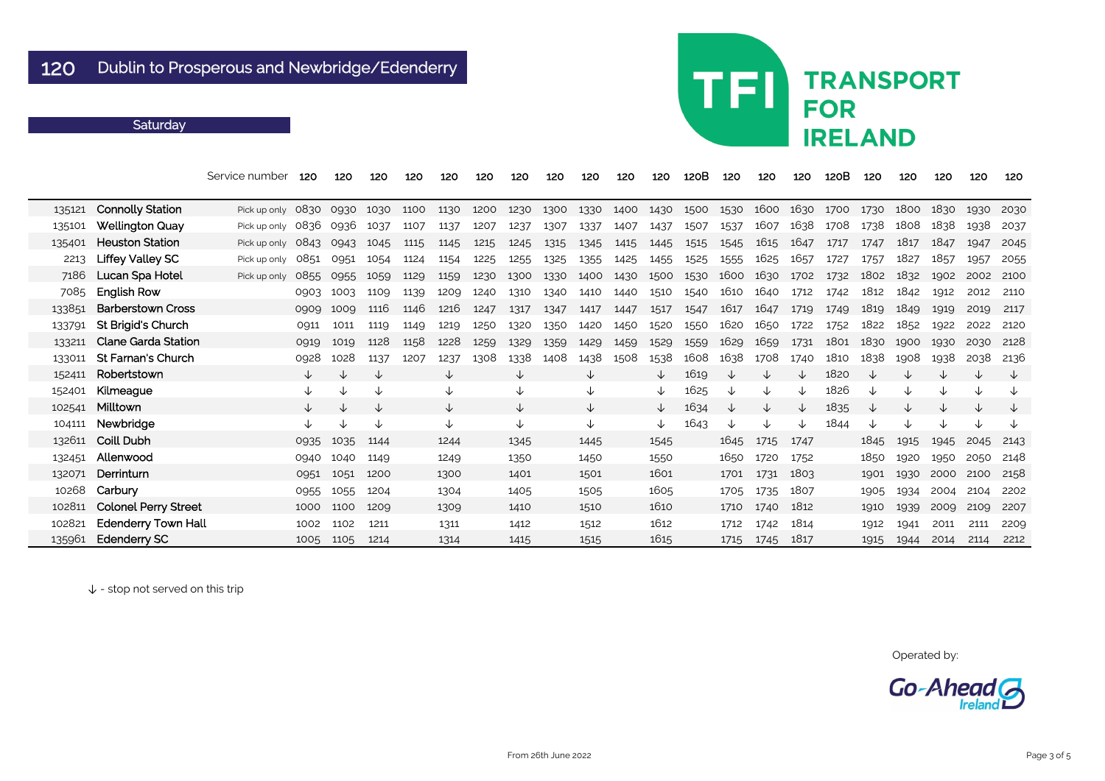## 120 Dublin to Prosperous and Newbridge/Edenderry

#### **Saturday**

|        |                             | Service number      | 120          | 120  | 120  | 120  | 120          | 120  | 120          | 120  | 120  | 120  | 120          | 120B | 120  | 120  | 120          | 120B | 120  | 120  | 120  | 120  | 120  |
|--------|-----------------------------|---------------------|--------------|------|------|------|--------------|------|--------------|------|------|------|--------------|------|------|------|--------------|------|------|------|------|------|------|
| 135121 | <b>Connolly Station</b>     | Pick up only        | 0830         | 0930 | 1030 | 1100 | 1130         | 1200 | 1230         | 1300 | 1330 | 1400 | 1430         | 1500 | 1530 | 1600 | 1630         | 1700 | 1730 | 1800 | 1830 | 1930 | 2030 |
| 135101 | <b>Wellington Quay</b>      | Pick up only $0836$ |              | 0936 | 1037 | 1107 | 1137         | 1207 | 1237         | 1307 | 1337 | 1407 | 1437         | 1507 | 1537 | 1607 | 1638         | 1708 | 1738 | 1808 | 1838 | 1938 | 2037 |
| 135401 | <b>Heuston Station</b>      | Pick up only        | 0843         | 0943 | 1045 | 1115 | 1145         | 1215 | 1245         | 1315 | 1345 | 1415 | 1445         | 1515 | 1545 | 1615 | 1647         | 1717 | 1747 | 1817 | 1847 | 1947 | 2045 |
| 2213   | <b>Liffey Valley SC</b>     | Pick up only        | 0851         | 0951 | 1054 | 1124 | 1154         | 1225 | 1255         | 1325 | 1355 | 1425 | 1455         | 1525 | 1555 | 1625 | 1657         | 1727 | 1757 | 1827 | 1857 | 1957 | 2055 |
| 7186   | Lucan Spa Hotel             | Pick up only        | 0855         | 0955 | 1059 | 1129 | 1159         | 1230 | 1300         | 1330 | 1400 | 1430 | 1500         | 1530 | 1600 | 1630 | 1702         | 1732 | 1802 | 1832 | 1902 | 2002 | 2100 |
| 7085   | <b>English Row</b>          |                     | 0903         | 1003 | 1109 | 1139 | 1209         | 1240 | 1310         | 1340 | 1410 | 1440 | 1510         | 1540 | 1610 | 1640 | 1712         | 1742 | 1812 | 1842 | 1912 | 2012 | 2110 |
| 133851 | <b>Barberstown Cross</b>    |                     | 0909         | 1009 | 1116 | 1146 | 1216         | 1247 | 1317         | 1347 | 1417 | 1447 | 1517         | 1547 | 1617 | 1647 | 1719         | 1749 | 1819 | 1849 | 1919 | 2019 | 2117 |
| 133791 | St Brigid's Church          |                     | 0911         | 1011 | 1119 | 1149 | 1219         | 1250 | 1320         | 1350 | 1420 | 1450 | 1520         | 1550 | 1620 | 1650 | 1722         | 1752 | 1822 | 1852 | 1922 | 2022 | 2120 |
| 133211 | <b>Clane Garda Station</b>  |                     | 0919         | 1019 | 1128 | 1158 | 1228         | 1259 | 1329         | 1359 | 1429 | 1459 | 1529         | 1559 | 1629 | 1659 | 1731         | 1801 | 1830 | 1900 | 1930 | 2030 | 2128 |
| 133011 | <b>St Farnan's Church</b>   |                     | 0928         | 1028 | 1137 | 1207 | 1237         | 1308 | 1338         | 1408 | 1438 | 1508 | 1538         | 1608 | 1638 | 1708 | 1740         | 1810 | 1838 | 1908 | 1938 | 2038 | 2136 |
| 152411 | Robertstown                 |                     | ↓            | J    | ↓    |      | $\downarrow$ |      | $\downarrow$ |      | ↓    |      | ↓            | 1619 | ↓    | ↓    | ↓            | 1820 | ╰∩   | ↓    | J    | ↓    | ↓    |
| 152401 | Kilmeague                   |                     | $\downarrow$ | ↓    | ↓    |      | ↓            |      | ↓            |      | ↓    |      | ↓            | 1625 | ↓    | ↓    | ↓            | 1826 | ↓    | ↓    | ↓    |      | V    |
| 102541 | Milltown                    |                     | $\downarrow$ | ↓    | ↓    |      | $\downarrow$ |      | ↓            |      | ↓    |      | $\downarrow$ | 1634 | ↓    | ↓    | $\downarrow$ | 1835 | ◡    | ↓    | ↓    | ↓    | ↓    |
| 104111 | Newbridge                   |                     | ↓            | ↓    | ↓    |      | ↓            |      | ↓            |      | ↓    |      | ↓            | 1643 | ↓    | ↓    | ↓            | 1844 | ∿    | ↓    | ↓    | ↓    | ↓    |
| 132611 | Coill Dubh                  |                     | 0935         | 1035 | 1144 |      | 1244         |      | 1345         |      | 1445 |      | 1545         |      | 1645 | 1715 | 1747         |      | 1845 | 1915 | 1945 | 2045 | 2143 |
| 132451 | Allenwood                   |                     | 0940         | 1040 | 1149 |      | 1249         |      | 1350         |      | 1450 |      | 1550         |      | 1650 | 1720 | 1752         |      | 1850 | 1920 | 1950 | 2050 | 2148 |
| 132071 | Derrinturn                  |                     | 0951         | 1051 | 1200 |      | 1300         |      | 1401         |      | 1501 |      | 1601         |      | 1701 | 1731 | 1803         |      | 1901 | 1930 | 2000 | 2100 | 2158 |
| 10268  | Carbury                     |                     | 0955         | 1055 | 1204 |      | 1304         |      | 1405         |      | 1505 |      | 1605         |      | 1705 | 1735 | 1807         |      | 1905 | 1934 | 2004 | 2104 | 2202 |
| 102811 | <b>Colonel Perry Street</b> |                     | 1000         | 1100 | 1209 |      | 1309         |      | 1410         |      | 1510 |      | 1610         |      | 1710 | 1740 | 1812         |      | 1910 | 1939 | 2009 | 2109 | 2207 |
| 102821 | <b>Edenderry Town Hall</b>  |                     | 1002         | 1102 | 1211 |      | 1311         |      | 1412         |      | 1512 |      | 1612         |      | 1712 | 1742 | 1814         |      | 1912 | 1941 | 2011 | 2111 | 2209 |
| 135961 | <b>Edenderry SC</b>         |                     | 1005         | 1105 | 1214 |      | 1314         |      | 1415         |      | 1515 |      | 1615         |      | 1715 | 1745 | 1817         |      | 1915 | 1944 | 2014 | 2114 | 2212 |

↓ - stop not served on this trip

# **TRANSPORT FOR IRELAND**

**TFI** 

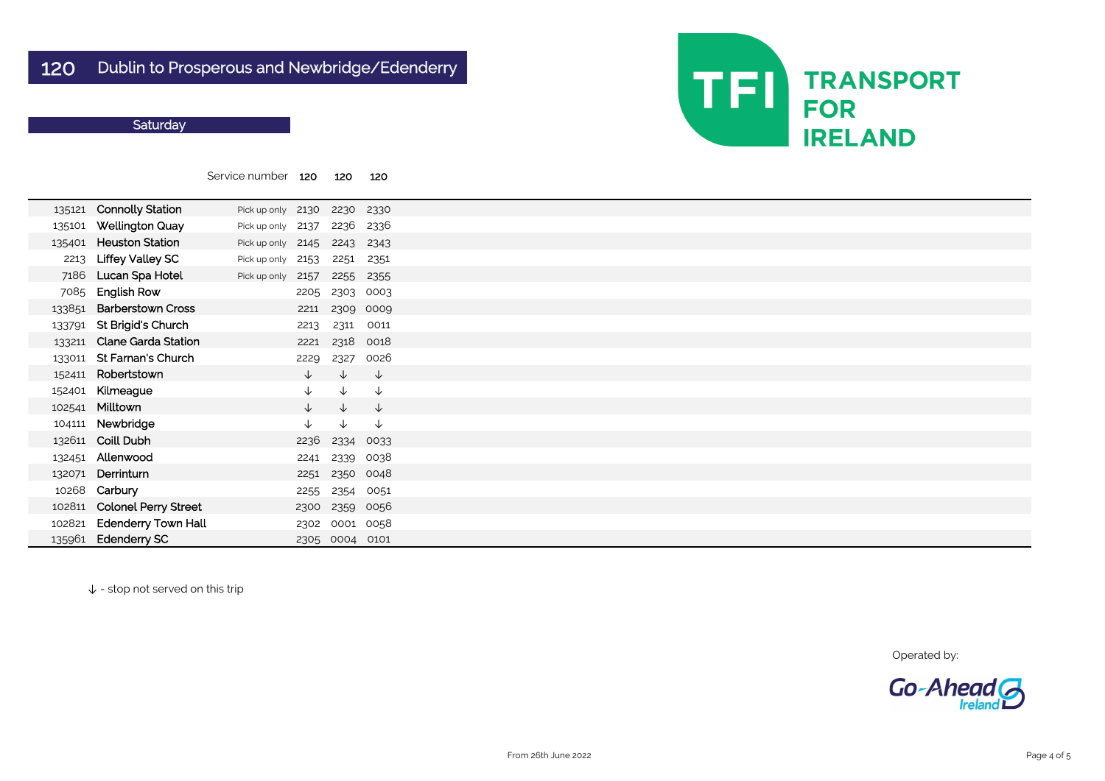#### **Saturday**

|        |                             | Service number | 120          | 120          | 120          |  |
|--------|-----------------------------|----------------|--------------|--------------|--------------|--|
| 135121 | <b>Connolly Station</b>     | Pick up only   | 2130         | 2230         | 2330         |  |
| 135101 | <b>Wellington Quay</b>      | Pick up only   | 2137         | 2236         | 2336         |  |
| 135401 | <b>Heuston Station</b>      | Pick up only   | 2145         | 2243         | 2343         |  |
| 2213   | <b>Liffey Valley SC</b>     | Pick up only   | 2153         | 2251         | 2351         |  |
| 7186   | Lucan Spa Hotel             | Pick up only   | 2157         | 2255         | 2355         |  |
| 7085   | <b>English Row</b>          |                | 2205         | 2303         | 0003         |  |
| 133851 | <b>Barberstown Cross</b>    |                | 2211         | 2309         | 0009         |  |
| 133791 | St Brigid's Church          |                | 2213         | 2311         | 0011         |  |
| 133211 | <b>Clane Garda Station</b>  |                | 2221         | 2318         | 0018         |  |
| 133011 | <b>St Farnan's Church</b>   |                | 2229         | 2327         | 0026         |  |
| 152411 | Robertstown                 |                | $\downarrow$ | $\downarrow$ | $\downarrow$ |  |
| 152401 | Kilmeague                   |                | $\downarrow$ | $\downarrow$ | $\downarrow$ |  |
| 102541 | Milltown                    |                | ↓            | $\downarrow$ | $\downarrow$ |  |
| 104111 | Newbridge                   |                | $\downarrow$ | $\downarrow$ | $\downarrow$ |  |
| 132611 | Coill Dubh                  |                | 2236         | 2334         | 0033         |  |
| 132451 | Allenwood                   |                | 2241         | 2339         | 0038         |  |
| 132071 | Derrinturn                  |                | 2251         | 2350         | 0048         |  |
| 10268  | Carbury                     |                | 2255         | 2354         | 0051         |  |
| 102811 | <b>Colonel Perry Street</b> |                | 2300         | 2359         | 0056         |  |
| 102821 | <b>Edenderry Town Hall</b>  |                | 2302         |              | 0001 0058    |  |
| 135961 | <b>Edenderry SC</b>         |                | 2305         | 0004         | 0101         |  |

↓ - stop not served on this trip